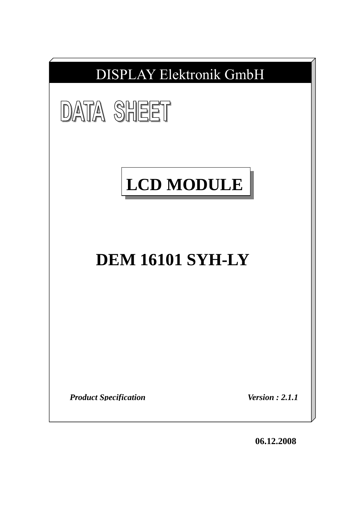

**06.12.2008**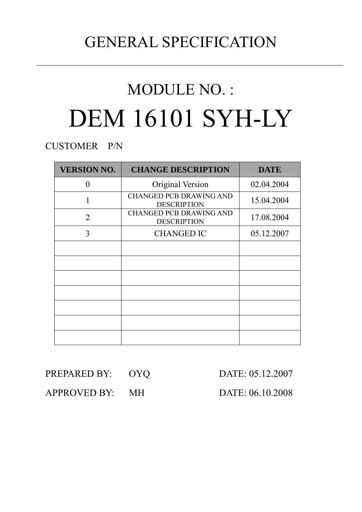## GENERAL SPECIFICATION

# MODULE NO. : DEM 16101 SYH-LY

CUSTOMER P/N

| <b>VERSION NO.</b> | <b>CHANGE DESCRIPTION</b>                            | <b>DATE</b> |
|--------------------|------------------------------------------------------|-------------|
| 0                  | Original Version                                     | 02.04.2004  |
|                    | <b>CHANGED PCB DRAWING AND</b><br><b>DESCRIPTION</b> | 15.04.2004  |
| $\overline{2}$     | <b>CHANGED PCB DRAWING AND</b><br><b>DESCRIPTION</b> | 17.08.2004  |
| 3                  | <b>CHANGED IC</b>                                    | 05.12.2007  |
|                    |                                                      |             |
|                    |                                                      |             |
|                    |                                                      |             |
|                    |                                                      |             |
|                    |                                                      |             |
|                    |                                                      |             |
|                    |                                                      |             |

| PREPARED BY: | <b>OYQ</b> |
|--------------|------------|
|--------------|------------|

DATE: 05.12.2007

APPROVED BY: MH DATE: 06.10.2008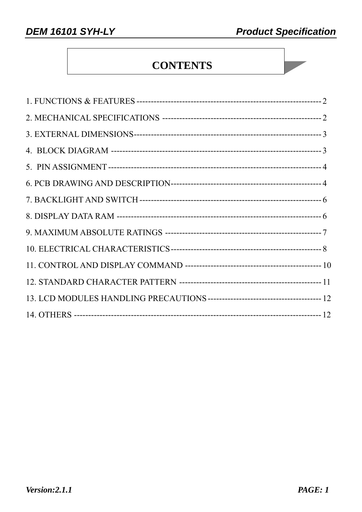### **CONTENTS**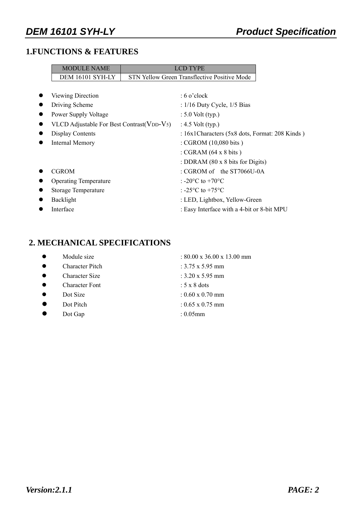#### **1.FUNCTIONS & FEATURES**

| <b>MODULE NAME</b>                         | <b>LCD TYPE</b>                                        |  |  |  |  |
|--------------------------------------------|--------------------------------------------------------|--|--|--|--|
| DEM 16101 SYH-LY                           | STN Yellow Green Transflective Positive Mode           |  |  |  |  |
|                                            |                                                        |  |  |  |  |
| Viewing Direction                          | $: 6$ o'clock                                          |  |  |  |  |
| Driving Scheme                             | : $1/16$ Duty Cycle, $1/5$ Bias                        |  |  |  |  |
| Power Supply Voltage                       | $\div$ 5.0 Volt (typ.)                                 |  |  |  |  |
| VLCD Adjustable For Best Contrast (VDD-V5) | : $4.5$ Volt (typ.)                                    |  |  |  |  |
| <b>Display Contents</b>                    | : 16x1 Characters (5x8 dots, Format: 208 Kinds)        |  |  |  |  |
| <b>Internal Memory</b>                     | : CGROM $(10,080 \text{ bits})$                        |  |  |  |  |
|                                            | : CGRAM $(64 \times 8 \text{ bits})$                   |  |  |  |  |
|                                            | : DDRAM $(80 \times 8)$ bits for Digits)               |  |  |  |  |
| <b>CGROM</b>                               | : CGROM of the ST7066U-0A                              |  |  |  |  |
| <b>Operating Temperature</b>               | : -20 $^{\circ}$ C to +70 $^{\circ}$ C                 |  |  |  |  |
| Storage Temperature                        | : -25 $\mathrm{^{\circ}C}$ to +75 $\mathrm{^{\circ}C}$ |  |  |  |  |
| Backlight                                  | : LED, Lightbox, Yellow-Green                          |  |  |  |  |
| Interface                                  | : Easy Interface with a 4-bit or 8-bit MPU             |  |  |  |  |

#### **2. MECHANICAL SPECIFICATIONS**

- 
- $\bullet$  Character Pitch : 3.75 x 5.95 mm
- $\bullet$  Character Size : 3.20 x 5.95 mm
- $\bullet$  Character Font : 5 x 8 dots
- 
- 
- Dot Gap : 0.05mm

• Module size  $\frac{13.00 \times 36.00 \times 13.00 \text{ mm}}{2000 \times 36.00 \times 13.00 \text{ mm}}$ 

- 
- 
- 
- $\bullet$  Dot Size : 0.60 x 0.70 mm
- $\bullet$  Dot Pitch : 0.65 x 0.75 mm
	-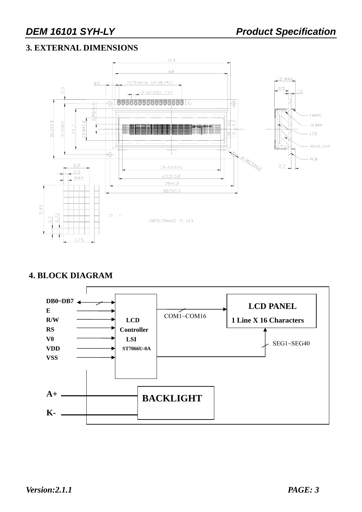#### **3. EXTERNAL DIMENSIONS**



#### **4. BLOCK DIAGRAM**

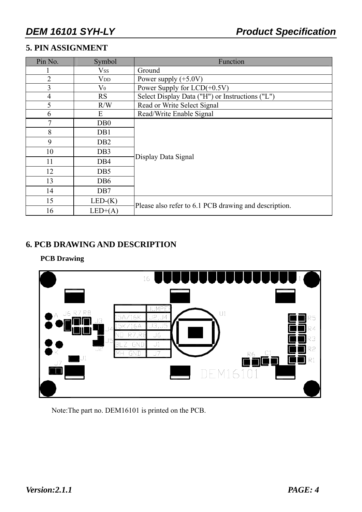#### **5. PIN ASSIGNMENT**

| Pin No.        | Symbol                  | Function                                              |  |  |  |  |  |  |
|----------------|-------------------------|-------------------------------------------------------|--|--|--|--|--|--|
|                | $\mathrm{V}\mathrm{ss}$ | Ground                                                |  |  |  |  |  |  |
| $\overline{2}$ | $V_{DD}$                | Power supply $(+5.0V)$                                |  |  |  |  |  |  |
| 3              | $\rm V_0$               | Power Supply for LCD(+0.5V)                           |  |  |  |  |  |  |
| 4              | <b>RS</b>               | Select Display Data ("H") or Instructions ("L")       |  |  |  |  |  |  |
| 5              | R/W                     | Read or Write Select Signal                           |  |  |  |  |  |  |
| 6              | E                       | Read/Write Enable Signal                              |  |  |  |  |  |  |
| 7              | D <sub>B</sub> 0        |                                                       |  |  |  |  |  |  |
| 8              | DB1                     |                                                       |  |  |  |  |  |  |
| 9              | D <sub>B2</sub>         |                                                       |  |  |  |  |  |  |
| 10             | DB <sub>3</sub>         |                                                       |  |  |  |  |  |  |
| 11             | DB <sub>4</sub>         | Display Data Signal                                   |  |  |  |  |  |  |
| 12             | DB <sub>5</sub>         |                                                       |  |  |  |  |  |  |
| 13             | DB <sub>6</sub>         |                                                       |  |  |  |  |  |  |
| 14             | DB7                     |                                                       |  |  |  |  |  |  |
| 15             | $LED-(K)$               |                                                       |  |  |  |  |  |  |
| 16             | $LED+(A)$               | Please also refer to 6.1 PCB drawing and description. |  |  |  |  |  |  |

#### **6. PCB DRAWING AND DESCRIPTION**

### **PCB Drawing**



Note:The part no. DEM16101 is printed on the PCB.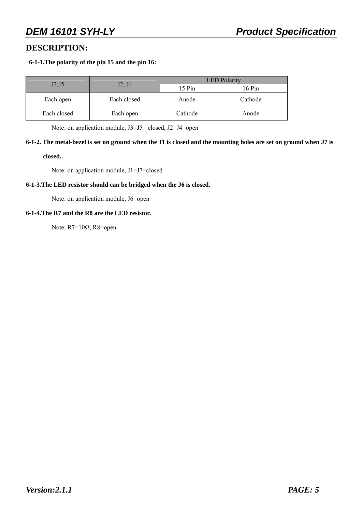#### **DESCRIPTION:**

#### **6-1-1.The polarity of the pin 15 and the pin 16:**

|             |                                 | <b>LED</b> Polarity |         |  |  |  |
|-------------|---------------------------------|---------------------|---------|--|--|--|
| J3, J5      | J <sub>2</sub> , J <sub>4</sub> | 15 Pin              | 16 Pin  |  |  |  |
| Each open   | Each closed                     | Anode               | Cathode |  |  |  |
| Each closed | Each open                       | Cathode             | Anode   |  |  |  |

Note: on application module, J3=J5= closed, J2=J4=open

### **6-1-2. The metal-bezel is set on ground when the J1 is closed and the mounting holes are set on ground when J7 is**

**closed..** 

Note: on application module, J1=J7=closed

#### **6-1-3.The LED resistor should can be bridged when the J6 is closed.**

Note: on application module, J6=open

#### **6-1-4.The R7 and the R8 are the LED resistor.**

Note: R7=10Ω, R8=open.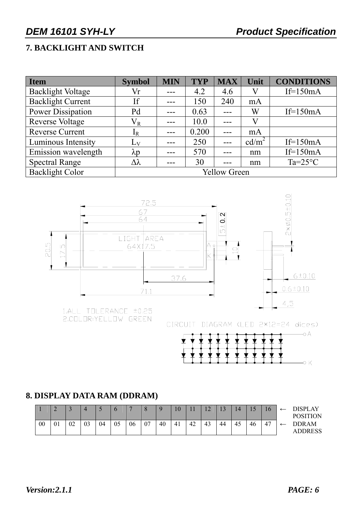#### **7. BACKLIGHT AND SWITCH**

| Item                     | <b>Symbol</b>       | <b>MIN</b> | <b>TYP</b> | <b>MAX</b> | Unit              | <b>CONDITIONS</b> |  |  |  |
|--------------------------|---------------------|------------|------------|------------|-------------------|-------------------|--|--|--|
| <b>Backlight Voltage</b> | Vr                  |            | 4.2        | 4.6        |                   | $If=150mA$        |  |  |  |
| <b>Backlight Current</b> | <b>If</b>           |            | 150        | 240        | mA                |                   |  |  |  |
| <b>Power Dissipation</b> | Pd                  |            | 0.63       |            | W                 | If= $150mA$       |  |  |  |
| <b>Reverse Voltage</b>   | $\rm V_R$           |            | 10.0       |            |                   |                   |  |  |  |
| <b>Reverse Current</b>   | $I_R$               |            | 0.200      |            | mA                |                   |  |  |  |
| Luminous Intensity       | $L_V$               |            | 250        |            | cd/m <sup>2</sup> | If= $150mA$       |  |  |  |
| Emission wavelength      | $\lambda p$         |            | 570        |            | nm                | $If=150mA$        |  |  |  |
| <b>Spectral Range</b>    | Δλ                  |            | 30         | ---        | nm                | $Ta=25^{\circ}C$  |  |  |  |
| <b>Backlight Color</b>   | <b>Yellow Green</b> |            |            |            |                   |                   |  |  |  |



2.COLOR:YELLOW GREEN

CIRCUIT DIAGRAM (LED 2\*12=24 dices)



#### **8. DISPLAY DATA RAM (DDRAM)**

|    |                  |          |    |    |    |    |    | $\Omega$ | $\overline{0}$ |    | $\sim$ | $\sim$ | $\overline{4}$ | $\overline{1}$ | 16 | <b>DISPLAY</b><br><b>POSITION</b> |
|----|------------------|----------|----|----|----|----|----|----------|----------------|----|--------|--------|----------------|----------------|----|-----------------------------------|
| 00 | $\Omega$ 1<br>v. | ∩∩<br>UZ | 03 | 04 | 05 | 06 | ∩¬ | 40       | 41             | 42 | 43     | 44     | 45             | 46             | 47 | <b>DDRAM</b><br><b>ADDRESS</b>    |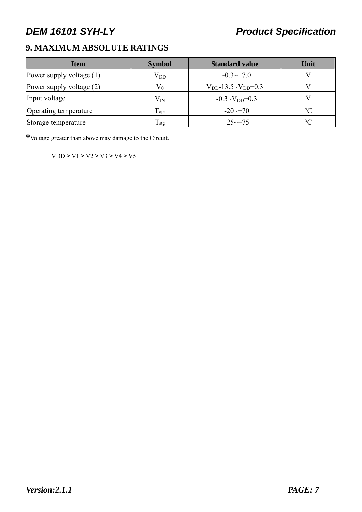#### **9. MAXIMUM ABSOLUTE RATINGS**

| <b>Item</b>                | <b>Symbol</b>               | <b>Standard value</b>         | Unit            |
|----------------------------|-----------------------------|-------------------------------|-----------------|
| Power supply voltage $(1)$ | $\rm V_{DD}$                | $-0.3 \rightarrow 7.0$        |                 |
| Power supply voltage $(2)$ | $V_0$                       | $V_{DD}$ -13.5~ $V_{DD}$ +0.3 |                 |
| Input voltage              | $\rm V_{IN}$                | $-0.3 \sim V_{DD} + 0.3$      |                 |
| Operating temperature      | $\mathrm{T}_{\mathrm{opt}}$ | $-20 \rightarrow 70$          | $\rm ^{\circ}C$ |
| Storage temperature        | T <sub>stg</sub>            | $-25 \rightarrow 75$          | $\rm ^{\circ}C$ |

**\***Voltage greater than above may damage to the Circuit.

VDD > V1 > V2 > V3 > V4 > V5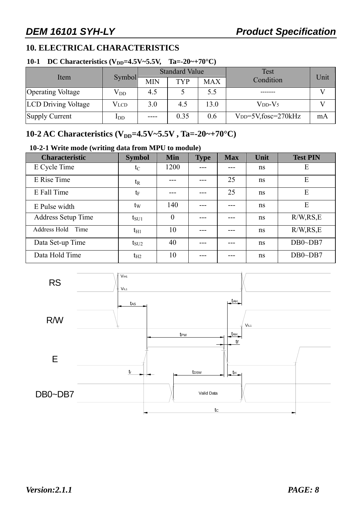#### **10. ELECTRICAL CHARACTERISTICS**

#### **10-1 DC Characteristics (V<sub>DD</sub>=4.5V~5.5V, Ta=-20~+70°C)**

|                            |               |            | <b>Standard Value</b> |            | Test                           | Unit |
|----------------------------|---------------|------------|-----------------------|------------|--------------------------------|------|
| Item                       | <b>Symbol</b> | <b>MIN</b> | TYP                   | <b>MAX</b> | Condition                      |      |
| <b>Operating Voltage</b>   | $\rm V_{DD}$  | 4.5        |                       | 5.5        |                                |      |
| <b>LCD Driving Voltage</b> | Vlcd          | 3.0        | 4.5                   | 13.0       | $VDD-V5$                       |      |
| Supply Current             | $_{\rm{LDD}}$ |            | 0.35                  | 0.6        | $V_{DD} = 5V$ , fosc=270 $kHz$ | mA   |

#### **10-2 AC Characteristics (V<sub>DD</sub>=4.5V~5.5V, Ta=-20~+70°C)**

#### **10-2-1 Write mode (writing data from MPU to module)**

| <b>Characteristic</b>     | <b>Symbol</b> | <b>Min</b> | <b>Type</b> | <b>Max</b> | Unit          | <b>Test PIN</b> |
|---------------------------|---------------|------------|-------------|------------|---------------|-----------------|
| E Cycle Time              | $t_C$         | 1200       |             |            | ns            | E               |
| E Rise Time               | $t_{R}$       |            |             | 25         | ns            | E               |
| E Fall Time               | $t_{\rm F}$   |            | ---         | 25         | <sub>ns</sub> | E               |
| E Pulse width             | $t_{\rm W}$   | 140        |             |            | ns            | E               |
| <b>Address Setup Time</b> | $t_{\rm SU1}$ | $\theta$   |             |            | ns            | R/W, RS, E      |
| Address Hold Time         | $t_{H1}$      | 10         | ---         |            | ns            | R/W, RS, E      |
| Data Set-up Time          | $t_{\rm SU2}$ | 40         |             |            | <sub>ns</sub> | $DB0\neg DB7$   |
| Data Hold Time            | $t_{H2}$      | 10         |             |            | ns            | $DB0\neg DB7$   |

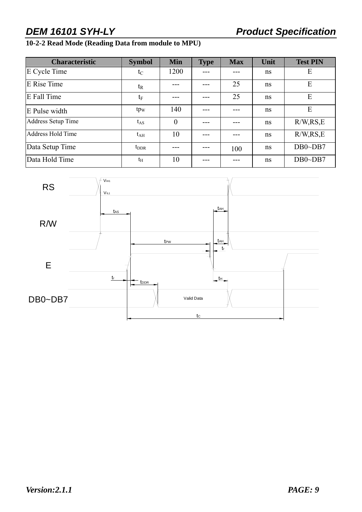#### **10-2-2 Read Mode (Reading Data from module to MPU)**

| <b>Characteristic</b>     | <b>Symbol</b>   | <b>Min</b>     | <b>Type</b> | <b>Max</b> | Unit | <b>Test PIN</b> |
|---------------------------|-----------------|----------------|-------------|------------|------|-----------------|
| E Cycle Time              | $t_{\rm C}$     | 1200           |             |            | ns   | E               |
| E Rise Time               | $t_{R}$         |                |             | 25         | ns.  | E               |
| E Fall Time               | $t_{\rm F}$     |                |             | 25         | ns   | E               |
| E Pulse width             | tp <sub>w</sub> | 140            |             |            | ns   | E               |
| <b>Address Setup Time</b> | $t_{AS}$        | $\overline{0}$ |             |            | ns   | R/W, RS, E      |
| <b>Address Hold Time</b>  | $t_{\rm AH}$    | 10             |             |            | ns   | R/W, RS, E      |
| Data Setup Time           | $t_{\rm DDR}$   |                |             | 100        | ns   | $DB0\neg DB7$   |
| Data Hold Time            | $t_{\rm H}$     | 10             |             |            | ns   | $DB0\neg DB7$   |

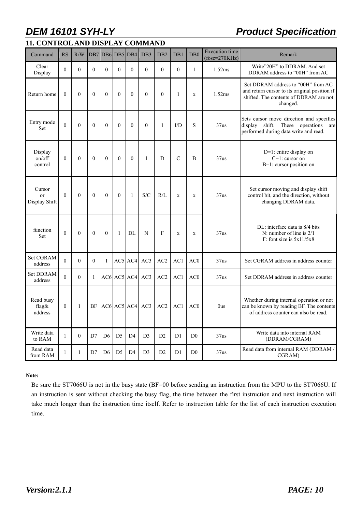**11. CONTROL AND DISPLAY COMMAND** 

### *DEM 16101 SYH-LY* Product Specification

| Command                                  | <b>RS</b>    | R/W            | D <sub>B7</sub>  | DB6              |                | DB5 DB4           | DB <sub>3</sub>  | DB <sub>2</sub> | DB1              | DB <sub>0</sub> | <b>Execution</b> time<br>$(fose=270KHz)$ | Remark                                                                                                                                    |  |  |  |  |
|------------------------------------------|--------------|----------------|------------------|------------------|----------------|-------------------|------------------|-----------------|------------------|-----------------|------------------------------------------|-------------------------------------------------------------------------------------------------------------------------------------------|--|--|--|--|
| Clear<br>Display                         | $\theta$     | $\theta$       | $\boldsymbol{0}$ | $\boldsymbol{0}$ | $\theta$       | $\boldsymbol{0}$  | $\boldsymbol{0}$ | $\overline{0}$  | $\boldsymbol{0}$ | $\mathbf{1}$    | 1.52ms                                   | Write"20H" to DDRAM. And set<br>DDRAM address to "00H" from AC                                                                            |  |  |  |  |
| Return home                              | $\theta$     | $\theta$       | $\theta$         | $\theta$         | $\theta$       | $\theta$          | $\theta$         | $\theta$        | $\mathbf{1}$     | $\mathbf x$     | 1.52ms                                   | Set DDRAM address to "00H" from AC<br>and return cursor to its original position if<br>shifted. The contents of DDRAM are not<br>changed. |  |  |  |  |
| Entry mode<br>Set                        | $\theta$     | $\overline{0}$ | $\mathbf{0}$     | $\mathbf{0}$     | $\mathbf{0}$   | $\overline{0}$    | $\mathbf{0}$     | $\mathbf{1}$    | I/D              | S               | 37us                                     | Sets cursor move direction and specifies<br>shift. These operations<br>display<br>are<br>performed during data write and read.            |  |  |  |  |
| Display<br>on/off<br>control             | $\theta$     | $\theta$       | $\theta$         | $\theta$         | $\theta$       | $\mathbf{0}$      | $\mathbf{1}$     | D               | $\mathcal{C}$    | $\overline{B}$  | 37us                                     | $D=1$ : entire display on<br>$C=1$ : cursor on<br>B=1: cursor position on                                                                 |  |  |  |  |
| Cursor<br><sub>or</sub><br>Display Shift | $\theta$     | $\theta$       | $\theta$         | $\theta$         | $\theta$       | $\mathbf{1}$      | S/C              | R/L             | $\mathbf x$      | $\mathbf x$     | 37us                                     | Set cursor moving and display shift<br>control bit, and the direction, without<br>changing DDRAM data.                                    |  |  |  |  |
| function<br>Set                          | $\theta$     | $\theta$       | $\theta$         | $\theta$         | 1              | DL                | N                | F               | $\mathbf x$      | $\mathbf X$     | 37us                                     | DL: interface data is 8/4 bits<br>N: number of line is $2/1$<br>F: font size is $5x11/5x8$                                                |  |  |  |  |
| Set CGRAM<br>address                     | $\theta$     | $\theta$       | $\theta$         | 1                |                | AC5 AC4           | AC3              | AC2             | AC1              | AC <sub>0</sub> | 37us                                     | Set CGRAM address in address counter                                                                                                      |  |  |  |  |
| <b>Set DDRAM</b><br>address              | $\theta$     | $\Omega$       | $\mathbf{1}$     |                  | AC6 AC5 AC4    |                   | AC3              | AC2             | AC1              | AC0             | 37us                                     | Set DDRAM address in address counter                                                                                                      |  |  |  |  |
| Read busy<br>flag&<br>address            | $\mathbf{0}$ | $\mathbf{1}$   | BF               |                  |                | $AC6$ $AC5$ $AC4$ | AC3              | AC2             | AC1              | AC0             | 0us                                      | Whether during internal operation or not<br>can be known by reading BF. The contents<br>of address counter can also be read.              |  |  |  |  |
| Write data<br>to RAM                     | 1            | $\Omega$       | D7               | D <sub>6</sub>   | D <sub>5</sub> | D <sub>4</sub>    | D <sub>3</sub>   | D2              | D1               | D <sub>0</sub>  | 37us                                     | Write data into internal RAM<br>(DDRAM/CGRAM)                                                                                             |  |  |  |  |
| Read data<br>from RAM                    | $\mathbf{1}$ | 1              | D7               | D <sub>6</sub>   | D <sub>5</sub> | D <sub>4</sub>    | D <sub>3</sub>   | D2              | D1               | D <sub>0</sub>  | 37us                                     | Read data from internal RAM (DDRAM /<br>CGRAM)                                                                                            |  |  |  |  |

#### **Note:**

Be sure the ST7066U is not in the busy state (BF=00 before sending an instruction from the MPU to the ST7066U. If an instruction is sent without checking the busy flag, the time between the first instruction and next instruction will take much longer than the instruction time itself. Refer to instruction table for the list of each instruction execution time.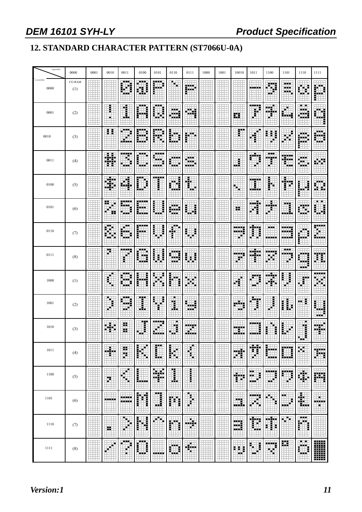### **12. STANDARD CHARACTER PATTERN (ST7066U-0A)**

| Upper(4bit)          | 0000          | 0001 | 0010                 | 0011              | 0100               | 0101      | 0110           | 0111              | 1000 | 1001 | 10010           | 1011               | 1100           | 1101               | 1110              | 1111              |
|----------------------|---------------|------|----------------------|-------------------|--------------------|-----------|----------------|-------------------|------|------|-----------------|--------------------|----------------|--------------------|-------------------|-------------------|
| Lowert(4bit)<br>0000 | CG RAM<br>(1) |      |                      | <br>- - -         | <br>ŧ<br>D.        | ----      | Ы              | 鼺                 |      |      |                 |                    | Ħ              | <br>1930)<br>---   |                   |                   |
| 0001                 | (2)           |      | i                    | 1                 | <br>Ē              | ×.        | <br>.          | m                 |      |      | 雛               | -----<br>f         | H              |                    | . .<br>.<br>.     |                   |
| 0010                 | (3)           |      | Ħ                    | <br>----          | <br>--             | ----<br>E | н.             |                   |      |      | m               | н                  | B              | ٠<br>۳             | a wilay           | . .<br>i<br>--    |
| 0011                 | (4)           |      | 嚻                    | m.                | 医胃炎                | 医胃胃炎      |                | <br>---<br>ala ka |      |      | E<br>нu         | ٣Ħ                 | <br>والأفادا   | 9999<br>in an<br>盅 | ┅<br>œ<br>والمالد |                   |
| 0100                 | (5)           |      | <br>83               | đ                 | m<br>55            | <br>i     | H.             | H.<br>H<br>∉Ĥ     |      |      |                 |                    | l              | Ш.<br>i            | Ē                 | X<br>æ            |
| 0101                 | (6)           |      | 89<br>25             | .                 | .                  | i         |                | Ē                 |      |      | 89              |                    | ÷<br>m.        | 1                  | ы<br>.            | . .<br>₩          |
| 0110                 | (7)           |      | <b>BB</b><br>Ħ<br>۳. | <b>In A</b><br>-- | -----              | Ĵ         | <b>FR</b><br>i | Ē                 |      |      | <u>ees</u><br>. |                    | a a a<br>----- | ---                |                   | -----<br>-----    |
| 0111                 | (8)           |      | F                    | <br>Ì             |                    | Ē<br>i    | . .<br>---     | Ē<br>H            |      |      | ----<br>r       |                    | н              | <br>.<br>♦         | <b>A 10 M</b>     | E                 |
| 1000                 | (1)           |      | €                    | . .               | i                  |           | į              | Œ<br>H            |      |      | H               |                    | ---<br>Ŧ       | 暈                  | Ë                 | a.                |
| 1001                 | (2)           |      |                      | <br>11 F<br>- -   | Ŧ<br>۳.            | i<br>Ē    | п<br>Ï         | biblio            |      |      | والأقاد<br>a a  | a.,                | 暈              | L<br>I             | ŧ<br>             | ▒                 |
| 1010                 | (3)           |      | ÷.                   | ×<br>99           | Ï                  | ----      | п<br>ŋ         | 龖                 |      |      |                 |                    | н<br>Ì         |                    | ٠<br>ł            | ä.                |
| 1011                 | (4)           |      | H                    | ∷<br>Ħ            | $\phi^p$<br>Ē<br>н |           | i<br>馡         | H                 |      |      | ۳               | 雛                  | E<br>alah s    | Ï                  | H.                | -----<br>m        |
| 1100                 | (5)           |      | H                    | п<br>п            | E                  | aga.      | <br>Ī          | i                 |      |      | .<br>E.         | m m<br>ŧ<br>       | 酈<br>- 1       | m<br>€             | 8                 | 膷                 |
| 1101                 | (6)           | ź,   | ----                 | <br>              | H<br>İ             | ---<br>I  | H<br>ĭ         | 薯                 |      |      | m<br>.          |                    |                | <br>F.<br>         | \$                | ×.<br>-----<br>E. |
| 1110                 | (7)           |      | 22                   | ۰<br>н            | l<br>Ħ             | ×         | i<br>Ē         | ÷.<br>п           |      |      | 躢               | F<br>i<br>ш,       | H              | Det.               | <br><br>Ξ<br>Ē    |                   |
| 1111                 | (8)           |      | Ξ                    |                   | ıÈ<br>I<br>        | -----     | E<br>- -       | ⊕                 |      |      | 麒<br>H.         | E,<br>i<br>E<br>н. | 爴<br>н         | ₩                  | . .<br><br>.      | W                 |